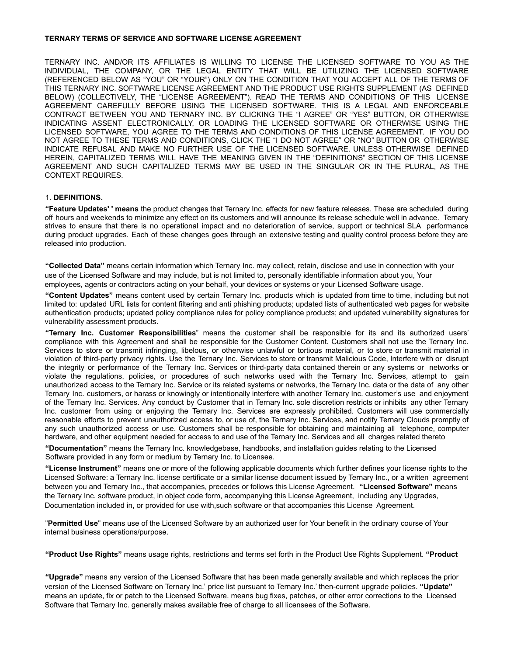## **TERNARY TERMS OF SERVICE AND SOFTWARE LICENSE AGREEMENT**

TERNARY INC. AND/OR ITS AFFILIATES IS WILLING TO LICENSE THE LICENSED SOFTWARE TO YOU AS THE INDIVIDUAL, THE COMPANY, OR THE LEGAL ENTITY THAT WILL BE UTILIZING THE LICENSED SOFTWARE (REFERENCED BELOW AS "YOU" OR "YOUR") ONLY ON THE CONDITION THAT YOU ACCEPT ALL OF THE TERMS OF THIS TERNARY INC. SOFTWARE LICENSE AGREEMENT AND THE PRODUCT USE RIGHTS SUPPLEMENT (AS DEFINED BELOW) (COLLECTIVELY, THE "LICENSE AGREEMENT"). READ THE TERMS AND CONDITIONS OF THIS LICENSE AGREEMENT CAREFULLY BEFORE USING THE LICENSED SOFTWARE. THIS IS A LEGAL AND ENFORCEABLE CONTRACT BETWEEN YOU AND TERNARY INC. BY CLICKING THE "I AGREE" OR "YES" BUTTON, OR OTHERWISE INDICATING ASSENT ELECTRONICALLY, OR LOADING THE LICENSED SOFTWARE OR OTHERWISE USING THE LICENSED SOFTWARE, YOU AGREE TO THE TERMS AND CONDITIONS OF THIS LICENSE AGREEMENT. IF YOU DO NOT AGREE TO THESE TERMS AND CONDITIONS, CLICK THE "I DO NOT AGREE" OR "NO" BUTTON OR OTHERWISE INDICATE REFUSAL AND MAKE NO FURTHER USE OF THE LICENSED SOFTWARE. UNLESS OTHERWISE DEFINED HEREIN, CAPITALIZED TERMS WILL HAVE THE MEANING GIVEN IN THE "DEFINITIONS" SECTION OF THIS LICENSE AGREEMENT AND SUCH CAPITALIZED TERMS MAY BE USED IN THE SINGULAR OR IN THE PLURAL, AS THE CONTEXT REQUIRES.

## 1. **DEFINITIONS.**

**"Feature Updates' ' means** the product changes that Ternary Inc. effects for new feature releases. These are scheduled during off hours and weekends to minimize any effect on its customers and will announce its release schedule well in advance. Ternary strives to ensure that there is no operational impact and no deterioration of service, support or technical SLA performance during product upgrades. Each of these changes goes through an extensive testing and quality control process before they are released into production.

**"Collected Data"** means certain information which Ternary Inc. may collect, retain, disclose and use in connection with your use of the Licensed Software and may include, but is not limited to, personally identifiable information about you, Your employees, agents or contractors acting on your behalf, your devices or systems or your Licensed Software usage.

**"Content Updates"** means content used by certain Ternary Inc. products which is updated from time to time, including but not limited to: updated URL lists for content filtering and anti phishing products; updated lists of authenticated web pages for website authentication products; updated policy compliance rules for policy compliance products; and updated vulnerability signatures for vulnerability assessment products.

**"Ternary Inc. Customer Responsibilities**" means the customer shall be responsible for its and its authorized users' compliance with this Agreement and shall be responsible for the Customer Content. Customers shall not use the Ternary Inc. Services to store or transmit infringing, libelous, or otherwise unlawful or tortious material, or to store or transmit material in violation of third-party privacy rights. Use the Ternary Inc. Services to store or transmit Malicious Code, Interfere with or disrupt the integrity or performance of the Ternary Inc. Services or third-party data contained therein or any systems or networks or violate the regulations, policies, or procedures of such networks used with the Ternary Inc. Services, attempt to gain unauthorized access to the Ternary Inc. Service or its related systems or networks, the Ternary Inc. data or the data of any other Ternary Inc. customers, or harass or knowingly or intentionally interfere with another Ternary Inc. customer's use and enjoyment of the Ternary Inc. Services. Any conduct by Customer that in Ternary Inc. sole discretion restricts or inhibits any other Ternary Inc. customer from using or enjoying the Ternary Inc. Services are expressly prohibited. Customers will use commercially reasonable efforts to prevent unauthorized access to, or use of, the Ternary Inc. Services, and notify Ternary Clouds promptly of any such unauthorized access or use. Customers shall be responsible for obtaining and maintaining all telephone, computer hardware, and other equipment needed for access to and use of the Ternary Inc. Services and all charges related thereto

**"Documentation"** means the Ternary Inc. knowledgebase, handbooks, and installation guides relating to the Licensed Software provided in any form or medium by Ternary Inc. to Licensee.

**"License Instrument"** means one or more of the following applicable documents which further defines your license rights to the Licensed Software: a Ternary Inc. license certificate or a similar license document issued by Ternary Inc., or a written agreement between you and Ternary Inc., that accompanies, precedes or follows this License Agreement. **"Licensed Software"** means the Ternary Inc. software product, in object code form, accompanying this License Agreement, including any Upgrades, Documentation included in, or provided for use with,such software or that accompanies this License Agreement.

"**Permitted Use**" means use of the Licensed Software by an authorized user for Your benefit in the ordinary course of Your internal business operations/purpose.

**"Product Use Rights"** means usage rights, restrictions and terms set forth in the Product Use Rights Supplement. **"Product**

**"Upgrade"** means any version of the Licensed Software that has been made generally available and which replaces the prior version of the Licensed Software on Ternary Inc.' price list pursuant to Ternary Inc.' then-current upgrade policies. **"Update"** means an update, fix or patch to the Licensed Software. means bug fixes, patches, or other error corrections to the Licensed Software that Ternary Inc. generally makes available free of charge to all licensees of the Software.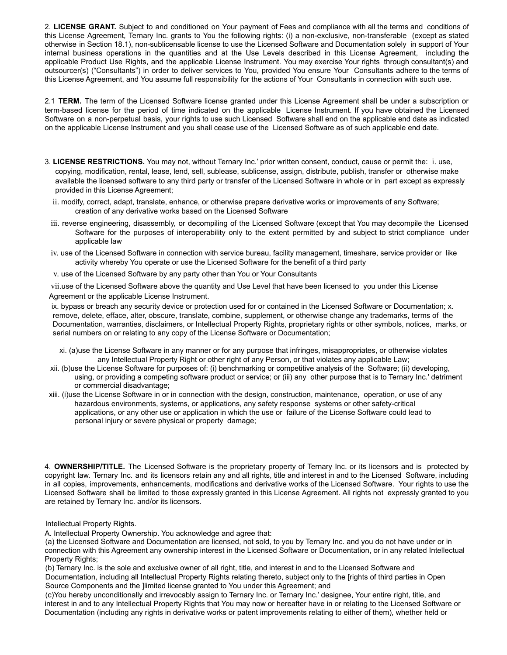2. **LICENSE GRANT.** Subject to and conditioned on Your payment of Fees and compliance with all the terms and conditions of this License Agreement, Ternary Inc. grants to You the following rights: (i) a non-exclusive, non-transferable (except as stated otherwise in Section 18.1), non-sublicensable license to use the Licensed Software and Documentation solely in support of Your internal business operations in the quantities and at the Use Levels described in this License Agreement, including the applicable Product Use Rights, and the applicable License Instrument. You may exercise Your rights through consultant(s) and outsourcer(s) ("Consultants") in order to deliver services to You, provided You ensure Your Consultants adhere to the terms of this License Agreement, and You assume full responsibility for the actions of Your Consultants in connection with such use.

2.1 **TERM.** The term of the Licensed Software license granted under this License Agreement shall be under a subscription or term-based license for the period of time indicated on the applicable License Instrument. If you have obtained the Licensed Software on a non-perpetual basis, your rights to use such Licensed Software shall end on the applicable end date as indicated on the applicable License Instrument and you shall cease use of the Licensed Software as of such applicable end date.

- 3. **LICENSE RESTRICTIONS.** You may not, without Ternary Inc.' prior written consent, conduct, cause or permit the: i. use, copying, modification, rental, lease, lend, sell, sublease, sublicense, assign, distribute, publish, transfer or otherwise make available the licensed software to any third party or transfer of the Licensed Software in whole or in part except as expressly provided in this License Agreement;
	- ii. modify, correct, adapt, translate, enhance, or otherwise prepare derivative works or improvements of any Software; creation of any derivative works based on the Licensed Software
	- iii. reverse engineering, disassembly, or decompiling of the Licensed Software (except that You may decompile the Licensed Software for the purposes of interoperability only to the extent permitted by and subject to strict compliance under applicable law
	- iv. use of the Licensed Software in connection with service bureau, facility management, timeshare, service provider or like activity whereby You operate or use the Licensed Software for the benefit of a third party
	- v. use of the Licensed Software by any party other than You or Your Consultants

vii.use of the Licensed Software above the quantity and Use Level that have been licensed to you under this License Agreement or the applicable License Instrument.

ix. bypass or breach any security device or protection used for or contained in the Licensed Software or Documentation; x. remove, delete, efface, alter, obscure, translate, combine, supplement, or otherwise change any trademarks, terms of the Documentation, warranties, disclaimers, or Intellectual Property Rights, proprietary rights or other symbols, notices, marks, or serial numbers on or relating to any copy of the License Software or Documentation;

- xi. (a)use the License Software in any manner or for any purpose that infringes, misappropriates, or otherwise violates any Intellectual Property Right or other right of any Person, or that violates any applicable Law;
- xii. (b)use the License Software for purposes of: (i) benchmarking or competitive analysis of the Software; (ii) developing, using, or providing a competing software product or service; or (iii) any other purpose that is to Ternary Inc.' detriment or commercial disadvantage;
- xiii. (i)use the License Software in or in connection with the design, construction, maintenance, operation, or use of any hazardous environments, systems, or applications, any safety response systems or other safety-critical applications, or any other use or application in which the use or failure of the License Software could lead to personal injury or severe physical or property damage;

4. **OWNERSHIP/TITLE.** The Licensed Software is the proprietary property of Ternary Inc. or its licensors and is protected by copyright law. Ternary Inc. and its licensors retain any and all rights, title and interest in and to the Licensed Software, including in all copies, improvements, enhancements, modifications and derivative works of the Licensed Software. Your rights to use the Licensed Software shall be limited to those expressly granted in this License Agreement. All rights not expressly granted to you are retained by Ternary Inc. and/or its licensors.

Intellectual Property Rights.

A. Intellectual Property Ownership. You acknowledge and agree that:

(a) the Licensed Software and Documentation are licensed, not sold, to you by Ternary Inc. and you do not have under or in connection with this Agreement any ownership interest in the Licensed Software or Documentation, or in any related Intellectual Property Rights;

(b) Ternary Inc. is the sole and exclusive owner of all right, title, and interest in and to the Licensed Software and Documentation, including all Intellectual Property Rights relating thereto, subject only to the [rights of third parties in Open Source Components and the ]limited license granted to You under this Agreement; and

(c)You hereby unconditionally and irrevocably assign to Ternary Inc. or Ternary Inc.' designee, Your entire right, title, and interest in and to any Intellectual Property Rights that You may now or hereafter have in or relating to the Licensed Software or Documentation (including any rights in derivative works or patent improvements relating to either of them), whether held or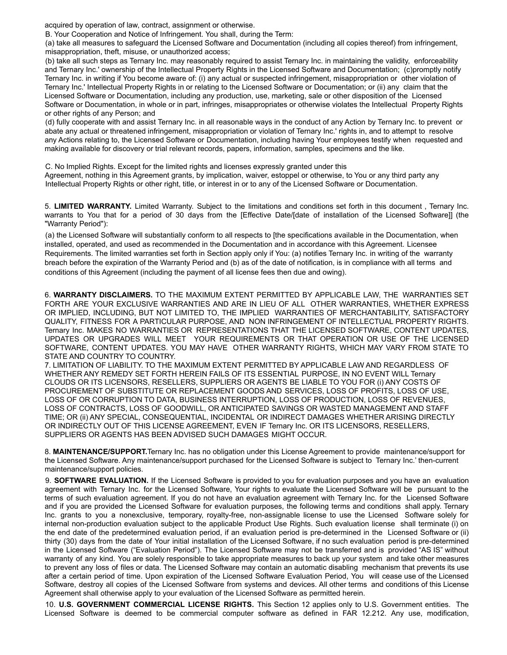acquired by operation of law, contract, assignment or otherwise.

B. Your Cooperation and Notice of Infringement. You shall, during the Term:

(a) take all measures to safeguard the Licensed Software and Documentation (including all copies thereof) from infringement, misappropriation, theft, misuse, or unauthorized access;

(b) take all such steps as Ternary Inc. may reasonably required to assist Ternary Inc. in maintaining the validity, enforceability and Ternary Inc.' ownership of the Intellectual Property Rights in the Licensed Software and Documentation; (c)promptly notify Ternary Inc. in writing if You become aware of: (i) any actual or suspected infringement, misappropriation or other violation of Ternary Inc.' Intellectual Property Rights in or relating to the Licensed Software or Documentation; or (ii) any claim that the Licensed Software or Documentation, including any production, use, marketing, sale or other disposition of the Licensed Software or Documentation, in whole or in part, infringes, misappropriates or otherwise violates the Intellectual Property Rights or other rights of any Person; and

(d) fully cooperate with and assist Ternary Inc. in all reasonable ways in the conduct of any Action by Ternary Inc. to prevent or abate any actual or threatened infringement, misappropriation or violation of Ternary Inc.' rights in, and to attempt to resolve any Actions relating to, the Licensed Software or Documentation, including having Your employees testify when requested and making available for discovery or trial relevant records, papers, information, samples, specimens and the like.

C. No Implied Rights. Except for the limited rights and licenses expressly granted under this Agreement, nothing in this Agreement grants, by implication, waiver, estoppel or otherwise, to You or any third party any Intellectual Property Rights or other right, title, or interest in or to any of the Licensed Software or Documentation.

5. **LIMITED WARRANTY.** Limited Warranty. Subject to the limitations and conditions set forth in this document , Ternary Inc. warrants to You that for a period of 30 days from the [Effective Date/[date of installation of the Licensed Software]] (the "Warranty Period"):

(a) the Licensed Software will substantially conform to all respects to [the specifications available in the Documentation, when installed, operated, and used as recommended in the Documentation and in accordance with this Agreement. Licensee Requirements. The limited warranties set forth in Section apply only if You: (a) notifies Ternary Inc. in writing of the warranty breach before the expiration of the Warranty Period and (b) as of the date of notification, is in compliance with all terms and conditions of this Agreement (including the payment of all license fees then due and owing).

6. **WARRANTY DISCLAIMERS.** TO THE MAXIMUM EXTENT PERMITTED BY APPLICABLE LAW, THE WARRANTIES SET FORTH ARE YOUR EXCLUSIVE WARRANTIES AND ARE IN LIEU OF ALL OTHER WARRANTIES, WHETHER EXPRESS OR IMPLIED, INCLUDING, BUT NOT LIMITED TO, THE IMPLIED WARRANTIES OF MERCHANTABILITY, SATISFACTORY QUALITY, FITNESS FOR A PARTICULAR PURPOSE, AND NON INFRINGEMENT OF INTELLECTUAL PROPERTY RIGHTS. Ternary Inc. MAKES NO WARRANTIES OR REPRESENTATIONS THAT THE LICENSED SOFTWARE, CONTENT UPDATES, UPDATES OR UPGRADES WILL MEET YOUR REQUIREMENTS OR THAT OPERATION OR USE OF THE LICENSED SOFTWARE, CONTENT UPDATES. YOU MAY HAVE OTHER WARRANTY RIGHTS, WHICH MAY VARY FROM STATE TO STATE AND COUNTRY TO COUNTRY.

7. LIMITATION OF LIABILITY. TO THE MAXIMUM EXTENT PERMITTED BY APPLICABLE LAW AND REGARDLESS OF WHETHER ANY REMEDY SET FORTH HEREIN FAILS OF ITS ESSENTIAL PURPOSE, IN NO EVENT WILL Ternary CLOUDS OR ITS LICENSORS, RESELLERS, SUPPLIERS OR AGENTS BE LIABLE TO YOU FOR (i) ANY COSTS OF PROCUREMENT OF SUBSTITUTE OR REPLACEMENT GOODS AND SERVICES, LOSS OF PROFITS, LOSS OF USE, LOSS OF OR CORRUPTION TO DATA, BUSINESS INTERRUPTION, LOSS OF PRODUCTION, LOSS OF REVENUES, LOSS OF CONTRACTS, LOSS OF GOODWILL, OR ANTICIPATED SAVINGS OR WASTED MANAGEMENT AND STAFF TIME; OR (ii) ANY SPECIAL, CONSEQUENTIAL, INCIDENTAL OR INDIRECT DAMAGES WHETHER ARISING DIRECTLY OR INDIRECTLY OUT OF THIS LICENSE AGREEMENT, EVEN IF Ternary Inc. OR ITS LICENSORS, RESELLERS, SUPPLIERS OR AGENTS HAS BEEN ADVISED SUCH DAMAGES MIGHT OCCUR.

8. **MAINTENANCE/SUPPORT.**Ternary Inc. has no obligation under this License Agreement to provide maintenance/support for the Licensed Software. Any maintenance/support purchased for the Licensed Software is subject to Ternary Inc.' then-current maintenance/support policies.

9. **SOFTWARE EVALUATION.** If the Licensed Software is provided to you for evaluation purposes and you have an evaluation agreement with Ternary Inc. for the Licensed Software, Your rights to evaluate the Licensed Software will be pursuant to the terms of such evaluation agreement. If you do not have an evaluation agreement with Ternary Inc. for the Licensed Software and if you are provided the Licensed Software for evaluation purposes, the following terms and conditions shall apply. Ternary Inc. grants to you a nonexclusive, temporary, royalty-free, non-assignable license to use the Licensed Software solely for internal non-production evaluation subject to the applicable Product Use Rights. Such evaluation license shall terminate (i) on the end date of the predetermined evaluation period, if an evaluation period is pre-determined in the Licensed Software or (ii) thirty (30) days from the date of Your initial installation of the Licensed Software, if no such evaluation period is pre-determined in the Licensed Software ("Evaluation Period"). The Licensed Software may not be transferred and is provided "AS IS" without warranty of any kind. You are solely responsible to take appropriate measures to back up your system and take other measures to prevent any loss of files or data. The Licensed Software may contain an automatic disabling mechanism that prevents its use after a certain period of time. Upon expiration of the Licensed Software Evaluation Period, You will cease use of the Licensed Software, destroy all copies of the Licensed Software from systems and devices. All other terms and conditions of this License Agreement shall otherwise apply to your evaluation of the Licensed Software as permitted herein.

10. **U.S. GOVERNMENT COMMERCIAL LICENSE RIGHTS.** This Section 12 applies only to U.S. Government entities. The Licensed Software is deemed to be commercial computer software as defined in FAR 12.212. Any use, modification,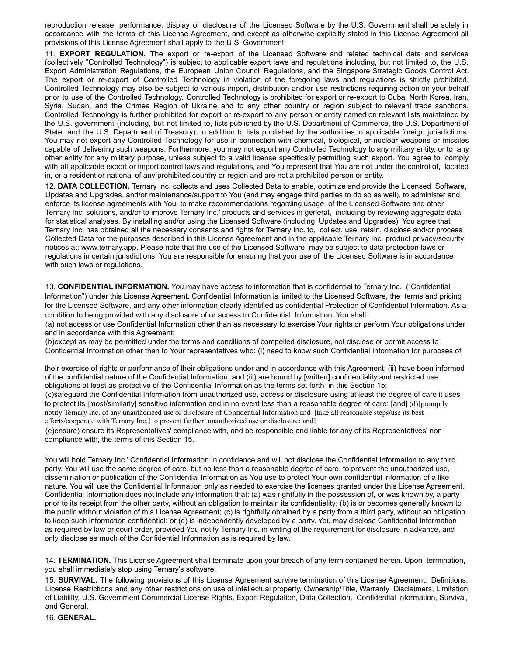reproduction release, performance, display or disclosure of the Licensed Software by the U.S. Government shall be solely in accordance with the terms of this License Agreement, and except as otherwise explicitly stated in this License Agreement all provisions of this License Agreement shall apply to the U.S. Government.

11. **EXPORT REGULATION.** The export or re-export of the Licensed Software and related technical data and services (collectively "Controlled Technology") is subject to applicable export laws and regulations including, but not limited to, the U.S. Export Administration Regulations, the European Union Council Regulations, and the Singapore Strategic Goods Control Act. The export or re-export of Controlled Technology in violation of the foregoing laws and regulations is strictly prohibited. Controlled Technology may also be subject to various import, distribution and/or use restrictions requiring action on your behalf prior to use of the Controlled Technology. Controlled Technology is prohibited for export or re-export to Cuba, North Korea, Iran, Syria, Sudan, and the Crimea Region of Ukraine and to any other country or region subject to relevant trade sanctions. Controlled Technology is further prohibited for export or re-export to any person or entity named on relevant lists maintained by the U.S. government (including, but not limited to, lists published by the U.S. Department of Commerce, the U.S. Department of State, and the U.S. Department of Treasury), in addition to lists published by the authorities in applicable foreign jurisdictions. You may not export any Controlled Technology for use in connection with chemical, biological, or nuclear weapons or missiles capable of delivering such weapons. Furthermore, you may not export any Controlled Technology to any military entity, or to any other entity for any military purpose, unless subject to a valid license specifically permitting such export. You agree to comply with all applicable export or import control laws and regulations, and You represent that You are not under the control of, located in, or a resident or national of any prohibited country or region and are not a prohibited person or entity.

12. **DATA COLLECTION.** Ternary Inc. collects and uses Collected Data to enable, optimize and provide the Licensed Software, Updates and Upgrades, and/or maintenance/support to You (and may engage third parties to do so as well), to administer and enforce its license agreements with You, to make recommendations regarding usage of the Licensed Software and other Ternary Inc. solutions, and/or to improve Ternary Inc.' products and services in general, including by reviewing aggregate data for statistical analyses. By installing and/or using the Licensed Software (including Updates and Upgrades), You agree that Ternary Inc. has obtained all the necessary consents and rights for Ternary Inc. to, collect, use, retain, disclose and/or process Collected Data for the purposes described in this License Agreement and in the applicable Ternary Inc. product privacy/security notices at: www.ternary.app. Please note that the use of the Licensed Software may be subject to data protection laws or regulations in certain jurisdictions. You are responsible for ensuring that your use of the Licensed Software is in accordance with such laws or regulations.

13. **CONFIDENTIAL INFORMATION.** You may have access to information that is confidential to Ternary Inc. ("Confidential Information") under this License Agreement. Confidential Information is limited to the Licensed Software, the terms and pricing for the Licensed Software, and any other information clearly identified as confidential Protection of Confidential Information. As a condition to being provided with any disclosure of or access to Confidential Information, You shall:

(a) not access or use Confidential Information other than as necessary to exercise Your rights or perform Your obligations under and in accordance with this Agreement;

(b)except as may be permitted under the terms and conditions of compelled disclosure, not disclose or permit access to Confidential Information other than to Your representatives who: (i) need to know such Confidential Information for purposes of

their exercise of rights or performance of their obligations under and in accordance with this Agreement; (ii) have been informed of the confidential nature of the Confidential Information; and (iii) are bound by [written] confidentiality and restricted use obligations at least as protective of the Confidential Information as the terms set forth in this Section 15; (c)safeguard the Confidential Information from unauthorized use, access or disclosure using at least the degree of care it uses to protect its [most/similarly] sensitive information and in no event less than a reasonable degree of care; [and] (d)[promptly notify Ternary Inc. of any unauthorized use or disclosure of Confidential Information and [take all reasonable steps/use its best efforts/cooperate with Ternary Inc.] to prevent further unauthorized use or disclosure; and]

(e)ensure) ensure its Representatives' compliance with, and be responsible and liable for any of its Representatives' non compliance with, the terms of this Section 15.

You will hold Ternary Inc.' Confidential Information in confidence and will not disclose the Confidential Information to any third party. You will use the same degree of care, but no less than a reasonable degree of care, to prevent the unauthorized use, dissemination or publication of the Confidential Information as You use to protect Your own confidential information of a like nature. You will use the Confidential Information only as needed to exercise the licenses granted under this License Agreement. Confidential Information does not include any information that: (a) was rightfully in the possession of, or was known by, a party prior to its receipt from the other party, without an obligation to maintain its confidentiality; (b) is or becomes generally known to the public without violation of this License Agreement; (c) is rightfully obtained by a party from a third party, without an obligation to keep such information confidential; or (d) is independently developed by a party. You may disclose Confidential Information as required by law or court order, provided You notify Ternary Inc. in writing of the requirement for disclosure in advance, and only disclose as much of the Confidential Information as is required by law.

14. **TERMINATION.** This License Agreement shall terminate upon your breach of any term contained herein. Upon termination, you shall immediately stop using Ternary's software.

15. **SURVIVAL.** The following provisions of this License Agreement survive termination of this License Agreement: Definitions, License Restrictions and any other restrictions on use of intellectual property, Ownership/Title, Warranty Disclaimers, Limitation of Liability, U.S. Government Commercial License Rights, Export Regulation, Data Collection, Confidential Information, Survival, and General.